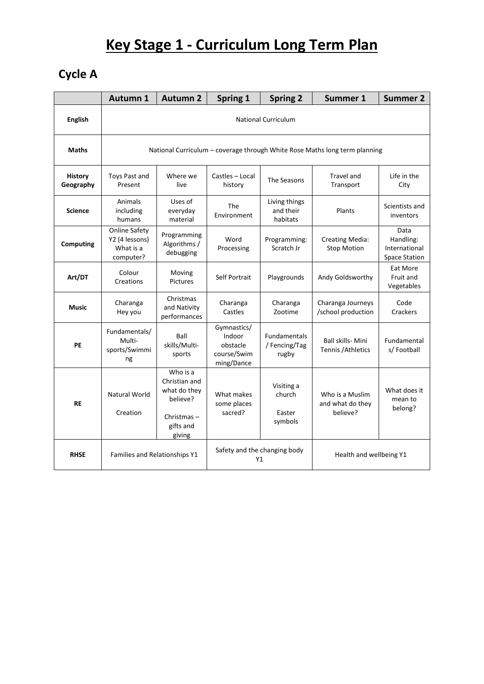## **Key Stage 1 - Curriculum Long Term Plan**

## **Cycle A**

|                             | <b>Autumn 1</b>                                                            | <b>Autumn 2</b>                                                                               | Spring 1                                                       | <b>Spring 2</b>                               | Summer 1                                        | <b>Summer 2</b>                                            |  |  |  |
|-----------------------------|----------------------------------------------------------------------------|-----------------------------------------------------------------------------------------------|----------------------------------------------------------------|-----------------------------------------------|-------------------------------------------------|------------------------------------------------------------|--|--|--|
| <b>English</b>              | <b>National Curriculum</b>                                                 |                                                                                               |                                                                |                                               |                                                 |                                                            |  |  |  |
| <b>Maths</b>                | National Curriculum - coverage through White Rose Maths long term planning |                                                                                               |                                                                |                                               |                                                 |                                                            |  |  |  |
| <b>History</b><br>Geography | Toys Past and<br>Present                                                   | Where we<br>live                                                                              | Castles - Local<br>history                                     | The Seasons                                   | <b>Travel and</b><br>Transport                  | Life in the<br>City                                        |  |  |  |
| <b>Science</b>              | Animals<br>including<br>humans                                             | Uses of<br>everyday<br>material                                                               | The<br>Environment                                             | Living things<br>and their<br>habitats        | Plants                                          | Scientists and<br>inventors                                |  |  |  |
| <b>Computing</b>            | <b>Online Safety</b><br>Y2 (4 lessons)<br>What is a<br>computer?           | Programming<br>Algorithms /<br>debugging                                                      | Word<br>Processing                                             | Programming:<br>Scratch Jr                    | <b>Creating Media:</b><br><b>Stop Motion</b>    | Data<br>Handling:<br>International<br><b>Space Station</b> |  |  |  |
| Art/DT                      | Colour<br>Creations                                                        | Moving<br>Pictures                                                                            | Self Portrait                                                  | Playgrounds                                   | Andy Goldsworthy                                | Eat More<br>Fruit and<br>Vegetables                        |  |  |  |
| <b>Music</b>                | Charanga<br>Hey you                                                        | Christmas<br>and Nativity<br>performances                                                     | Charanga<br>Castles                                            | Charanga<br>Zootime                           | Charanga Journeys<br>/school production         | Code<br>Crackers                                           |  |  |  |
| PE                          | Fundamentals/<br>Multi-<br>sports/Swimmi<br>ng                             | Ball<br>skills/Multi-<br>sports                                                               | Gymnastics/<br>Indoor<br>obstacle<br>course/Swim<br>ming/Dance | <b>Fundamentals</b><br>/ Fencing/Tag<br>rugby | <b>Ball skills- Mini</b><br>Tennis / Athletics  | Fundamental<br>s/Football                                  |  |  |  |
| <b>RE</b>                   | Natural World<br>Creation                                                  | Who is a<br>Christian and<br>what do they<br>believe?<br>Christmas $-$<br>gifts and<br>giving | What makes<br>some places<br>sacred?                           | Visiting a<br>church<br>Easter<br>symbols     | Who is a Muslim<br>and what do they<br>believe? | What does it<br>mean to<br>belong?                         |  |  |  |
| <b>RHSE</b>                 | Families and Relationships Y1                                              |                                                                                               | Safety and the changing body<br>Υ1                             |                                               | Health and wellbeing Y1                         |                                                            |  |  |  |